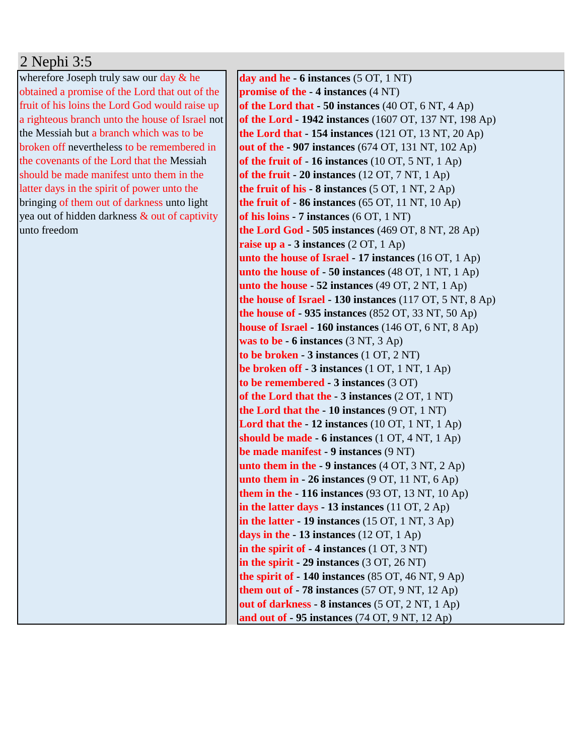## 2 Nephi 3:5

wherefore Joseph truly saw our day & he obtained a promise of the Lord that out of the fruit of his loins the Lord God would raise up a righteous branch unto the house of Israel not the Messiah but a branch which was to be broken off nevertheless to be remembered in the covenants of the Lord that the Messiah should be made manifest unto them in the latter days in the spirit of power unto the bringing of them out of darkness unto light yea out of hidden darkness & out of captivity unto freedom

**day and he - 6 instances** (5 OT, 1 NT) **promise of the - 4 instances** (4 NT) **of the Lord that - 50 instances** (40 OT, 6 NT, 4 Ap) **of the Lord - 1942 instances** (1607 OT, 137 NT, 198 Ap) **the Lord that - 154 instances** (121 OT, 13 NT, 20 Ap) **out of the - 907 instances** (674 OT, 131 NT, 102 Ap) **of the fruit of - 16 instances** (10 OT, 5 NT, 1 Ap) **of the fruit - 20 instances** (12 OT, 7 NT, 1 Ap) **the fruit of his - 8 instances** (5 OT, 1 NT, 2 Ap) **the fruit of - 86 instances** (65 OT, 11 NT, 10 Ap) **of his loins - 7 instances** (6 OT, 1 NT) **the Lord God - 505 instances** (469 OT, 8 NT, 28 Ap) **raise up a - 3 instances** (2 OT, 1 Ap) **unto the house of Israel - 17 instances** (16 OT, 1 Ap) **unto the house of - 50 instances** (48 OT, 1 NT, 1 Ap) **unto the house - 52 instances** (49 OT, 2 NT, 1 Ap) **the house of Israel - 130 instances** (117 OT, 5 NT, 8 Ap) **the house of - 935 instances** (852 OT, 33 NT, 50 Ap) **house of Israel - 160 instances** (146 OT, 6 NT, 8 Ap) **was to be - 6 instances** (3 NT, 3 Ap) **to be broken - 3 instances** (1 OT, 2 NT) **be broken off - 3 instances** (1 OT, 1 NT, 1 Ap) **to be remembered - 3 instances** (3 OT) **of the Lord that the - 3 instances** (2 OT, 1 NT) **the Lord that the - 10 instances** (9 OT, 1 NT) **Lord that the - 12 instances** (10 OT, 1 NT, 1 Ap) **should be made - 6 instances** (1 OT, 4 NT, 1 Ap) **be made manifest - 9 instances** (9 NT) **unto them in the - 9 instances** (4 OT, 3 NT, 2 Ap) **unto them in - 26 instances** (9 OT, 11 NT, 6 Ap) **them in the - 116 instances** (93 OT, 13 NT, 10 Ap) **in the latter days - 13 instances** (11 OT, 2 Ap) **in the latter - 19 instances** (15 OT, 1 NT, 3 Ap) **days in the - 13 instances** (12 OT, 1 Ap) **in the spirit of - 4 instances** (1 OT, 3 NT) **in the spirit - 29 instances** (3 OT, 26 NT) **the spirit of - 140 instances** (85 OT, 46 NT, 9 Ap) **them out of - 78 instances** (57 OT, 9 NT, 12 Ap) **out of darkness - 8 instances** (5 OT, 2 NT, 1 Ap) **and out of - 95 instances** (74 OT, 9 NT, 12 Ap)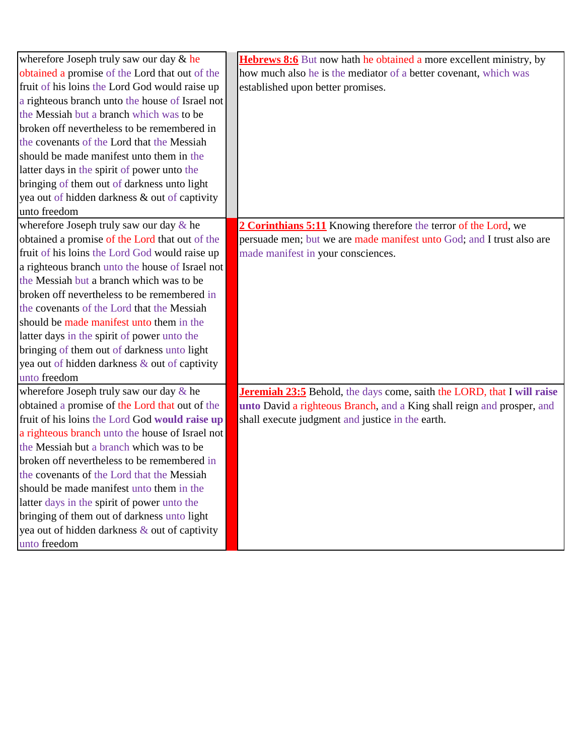| wherefore Joseph truly saw our day & he         | <b>Hebrews 8:6</b> But now hath he obtained a more excellent ministry, by |
|-------------------------------------------------|---------------------------------------------------------------------------|
| obtained a promise of the Lord that out of the  | how much also he is the mediator of a better covenant, which was          |
| fruit of his loins the Lord God would raise up  | established upon better promises.                                         |
| a righteous branch unto the house of Israel not |                                                                           |
| the Messiah but a branch which was to be        |                                                                           |
| broken off nevertheless to be remembered in     |                                                                           |
| the covenants of the Lord that the Messiah      |                                                                           |
| should be made manifest unto them in the        |                                                                           |
| latter days in the spirit of power unto the     |                                                                           |
| bringing of them out of darkness unto light     |                                                                           |
| yea out of hidden darkness & out of captivity   |                                                                           |
| unto freedom                                    |                                                                           |
| wherefore Joseph truly saw our day & he         | 2 Corinthians 5:11 Knowing therefore the terror of the Lord, we           |
| obtained a promise of the Lord that out of the  | persuade men; but we are made manifest unto God; and I trust also are     |
| fruit of his loins the Lord God would raise up  | made manifest in your consciences.                                        |
| a righteous branch unto the house of Israel not |                                                                           |
| the Messiah but a branch which was to be        |                                                                           |
| broken off nevertheless to be remembered in     |                                                                           |
| the covenants of the Lord that the Messiah      |                                                                           |
| should be made manifest unto them in the        |                                                                           |
| latter days in the spirit of power unto the     |                                                                           |
| bringing of them out of darkness unto light     |                                                                           |
| yea out of hidden darkness & out of captivity   |                                                                           |
| unto freedom                                    |                                                                           |
| wherefore Joseph truly saw our day & he         | Jeremiah 23:5 Behold, the days come, saith the LORD, that I will raise    |
| obtained a promise of the Lord that out of the  | unto David a righteous Branch, and a King shall reign and prosper, and    |
| fruit of his loins the Lord God would raise up  | shall execute judgment and justice in the earth.                          |
| a righteous branch unto the house of Israel not |                                                                           |
| the Messiah but a branch which was to be        |                                                                           |
| broken off nevertheless to be remembered in     |                                                                           |
| the covenants of the Lord that the Messiah      |                                                                           |
| should be made manifest unto them in the        |                                                                           |
| latter days in the spirit of power unto the     |                                                                           |
| bringing of them out of darkness unto light     |                                                                           |
| yea out of hidden darkness & out of captivity   |                                                                           |
| unto freedom                                    |                                                                           |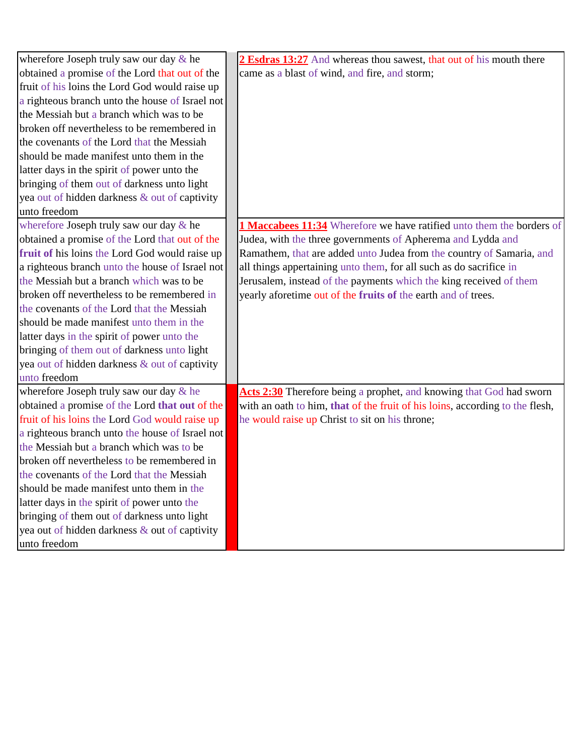| wherefore Joseph truly saw our day & he         | 2 Esdras 13:27 And whereas thou sawest, that out of his mouth there          |
|-------------------------------------------------|------------------------------------------------------------------------------|
| obtained a promise of the Lord that out of the  | came as a blast of wind, and fire, and storm;                                |
| fruit of his loins the Lord God would raise up  |                                                                              |
| a righteous branch unto the house of Israel not |                                                                              |
| the Messiah but a branch which was to be        |                                                                              |
| broken off nevertheless to be remembered in     |                                                                              |
| the covenants of the Lord that the Messiah      |                                                                              |
| should be made manifest unto them in the        |                                                                              |
| latter days in the spirit of power unto the     |                                                                              |
| bringing of them out of darkness unto light     |                                                                              |
| yea out of hidden darkness & out of captivity   |                                                                              |
| unto freedom                                    |                                                                              |
| wherefore Joseph truly saw our day & he         | 1 Maccabees 11:34 Wherefore we have ratified unto them the borders of        |
| obtained a promise of the Lord that out of the  | Judea, with the three governments of Apherema and Lydda and                  |
| fruit of his loins the Lord God would raise up  | Ramathem, that are added unto Judea from the country of Samaria, and         |
| a righteous branch unto the house of Israel not | all things appertaining unto them, for all such as do sacrifice in           |
| the Messiah but a branch which was to be        | Jerusalem, instead of the payments which the king received of them           |
| broken off nevertheless to be remembered in     | yearly aforetime out of the fruits of the earth and of trees.                |
| the covenants of the Lord that the Messiah      |                                                                              |
| should be made manifest unto them in the        |                                                                              |
| latter days in the spirit of power unto the     |                                                                              |
| bringing of them out of darkness unto light     |                                                                              |
| yea out of hidden darkness & out of captivity   |                                                                              |
| unto freedom                                    |                                                                              |
| wherefore Joseph truly saw our day & he         | Acts 2:30 Therefore being a prophet, and knowing that God had sworn          |
| obtained a promise of the Lord that out of the  | with an oath to him, that of the fruit of his loins, according to the flesh, |
| fruit of his loins the Lord God would raise up  | he would raise up Christ to sit on his throne;                               |
| a righteous branch unto the house of Israel not |                                                                              |
| the Messiah but a branch which was to be        |                                                                              |
| broken off nevertheless to be remembered in     |                                                                              |
| the covenants of the Lord that the Messiah      |                                                                              |
| should be made manifest unto them in the        |                                                                              |
| latter days in the spirit of power unto the     |                                                                              |
| bringing of them out of darkness unto light     |                                                                              |
| yea out of hidden darkness & out of captivity   |                                                                              |
| unto freedom                                    |                                                                              |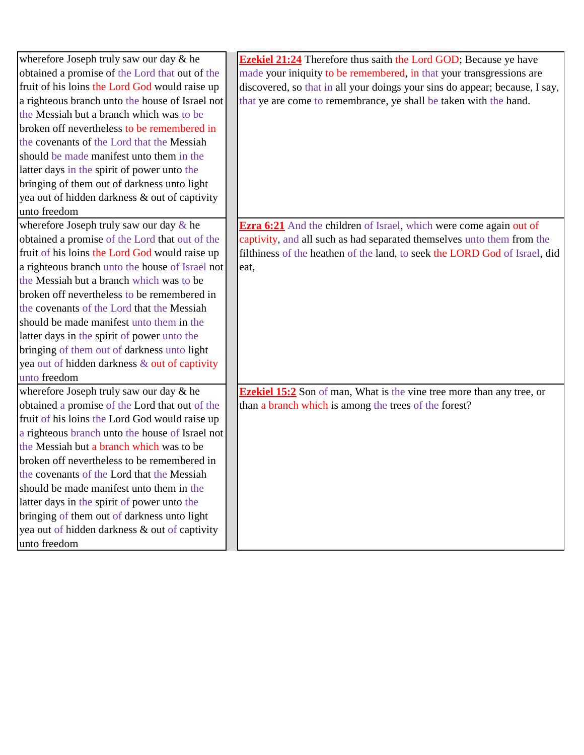| wherefore Joseph truly saw our day & he         | <b>Ezekiel 21:24</b> Therefore thus saith the Lord GOD; Because ye have      |
|-------------------------------------------------|------------------------------------------------------------------------------|
| obtained a promise of the Lord that out of the  | made your iniquity to be remembered, in that your transgressions are         |
| fruit of his loins the Lord God would raise up  | discovered, so that in all your doings your sins do appear; because, I say,  |
| a righteous branch unto the house of Israel not | that ye are come to remembrance, ye shall be taken with the hand.            |
| the Messiah but a branch which was to be        |                                                                              |
| broken off nevertheless to be remembered in     |                                                                              |
| the covenants of the Lord that the Messiah      |                                                                              |
| should be made manifest unto them in the        |                                                                              |
| latter days in the spirit of power unto the     |                                                                              |
| bringing of them out of darkness unto light     |                                                                              |
| yea out of hidden darkness & out of captivity   |                                                                              |
| unto freedom                                    |                                                                              |
| wherefore Joseph truly saw our day & he         | <b>Ezra 6:21</b> And the children of Israel, which were come again out of    |
| obtained a promise of the Lord that out of the  | captivity, and all such as had separated themselves unto them from the       |
| fruit of his loins the Lord God would raise up  | filthiness of the heathen of the land, to seek the LORD God of Israel, did   |
| a righteous branch unto the house of Israel not | eat,                                                                         |
| the Messiah but a branch which was to be        |                                                                              |
| broken off nevertheless to be remembered in     |                                                                              |
| the covenants of the Lord that the Messiah      |                                                                              |
| should be made manifest unto them in the        |                                                                              |
| latter days in the spirit of power unto the     |                                                                              |
| bringing of them out of darkness unto light     |                                                                              |
| yea out of hidden darkness & out of captivity   |                                                                              |
| unto freedom                                    |                                                                              |
| wherefore Joseph truly saw our day & he         | <b>Ezekiel 15:2</b> Son of man, What is the vine tree more than any tree, or |
| obtained a promise of the Lord that out of the  | than a branch which is among the trees of the forest?                        |
| fruit of his loins the Lord God would raise up  |                                                                              |
| a righteous branch unto the house of Israel not |                                                                              |
| the Messiah but a branch which was to be        |                                                                              |
| broken off nevertheless to be remembered in     |                                                                              |
| the covenants of the Lord that the Messiah      |                                                                              |
| should be made manifest unto them in the        |                                                                              |
| latter days in the spirit of power unto the     |                                                                              |
| bringing of them out of darkness unto light     |                                                                              |
| yea out of hidden darkness & out of captivity   |                                                                              |
| unto freedom                                    |                                                                              |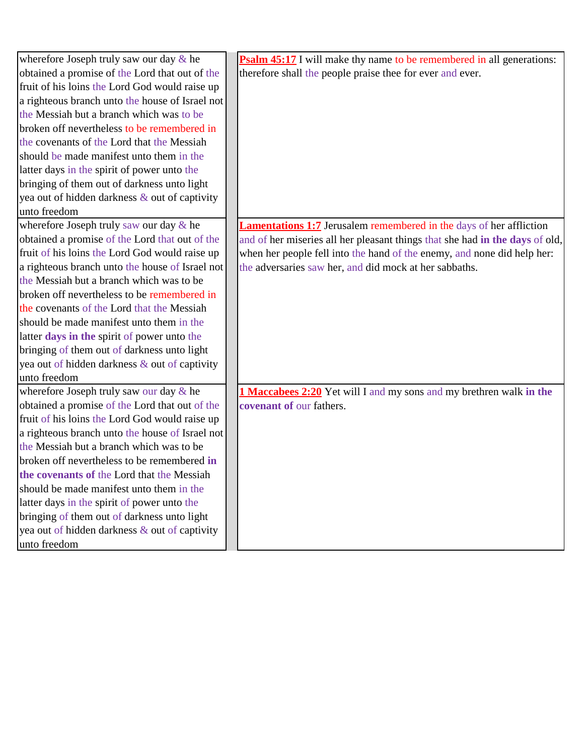| wherefore Joseph truly saw our day & he         | <b>Psalm 45:17</b> I will make thy name to be remembered in all generations: |
|-------------------------------------------------|------------------------------------------------------------------------------|
| obtained a promise of the Lord that out of the  | therefore shall the people praise thee for ever and ever.                    |
| fruit of his loins the Lord God would raise up  |                                                                              |
| a righteous branch unto the house of Israel not |                                                                              |
| the Messiah but a branch which was to be        |                                                                              |
| broken off nevertheless to be remembered in     |                                                                              |
| the covenants of the Lord that the Messiah      |                                                                              |
| should be made manifest unto them in the        |                                                                              |
| latter days in the spirit of power unto the     |                                                                              |
| bringing of them out of darkness unto light     |                                                                              |
| yea out of hidden darkness & out of captivity   |                                                                              |
| unto freedom                                    |                                                                              |
| wherefore Joseph truly saw our day & he         | <b>Lamentations 1:7</b> Jerusalem remembered in the days of her affliction   |
| obtained a promise of the Lord that out of the  | and of her miseries all her pleasant things that she had in the days of old, |
| fruit of his loins the Lord God would raise up  | when her people fell into the hand of the enemy, and none did help her:      |
| a righteous branch unto the house of Israel not | the adversaries saw her, and did mock at her sabbaths.                       |
| the Messiah but a branch which was to be        |                                                                              |
| broken off nevertheless to be remembered in     |                                                                              |
| the covenants of the Lord that the Messiah      |                                                                              |
| should be made manifest unto them in the        |                                                                              |
| latter days in the spirit of power unto the     |                                                                              |
| bringing of them out of darkness unto light     |                                                                              |
| yea out of hidden darkness & out of captivity   |                                                                              |
| unto freedom                                    |                                                                              |
| wherefore Joseph truly saw our day & he         | 1 Maccabees 2:20 Yet will I and my sons and my brethren walk in the          |
| obtained a promise of the Lord that out of the  | covenant of our fathers.                                                     |
| fruit of his loins the Lord God would raise up  |                                                                              |
| a righteous branch unto the house of Israel not |                                                                              |
| the Messiah but a branch which was to be        |                                                                              |
| broken off nevertheless to be remembered in     |                                                                              |
| the covenants of the Lord that the Messiah      |                                                                              |
| should be made manifest unto them in the        |                                                                              |
| latter days in the spirit of power unto the     |                                                                              |
| bringing of them out of darkness unto light     |                                                                              |
| yea out of hidden darkness & out of captivity   |                                                                              |
| unto freedom                                    |                                                                              |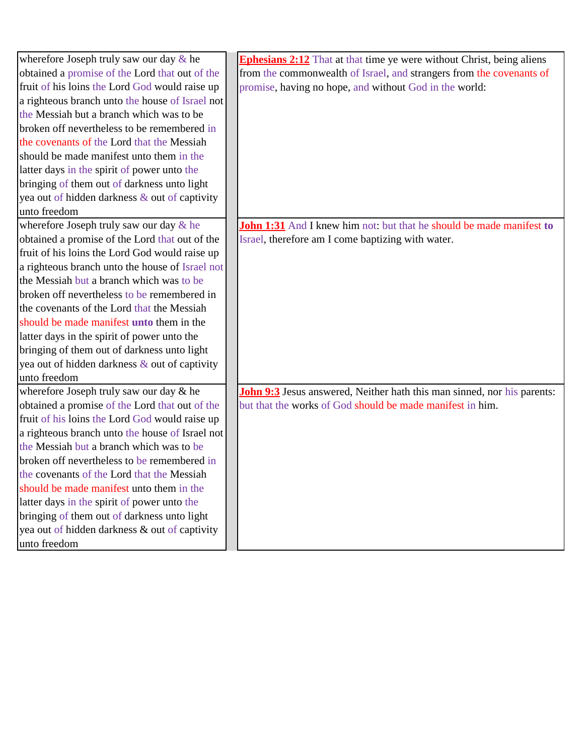| wherefore Joseph truly saw our day & he         | <b>Ephesians 2:12</b> That at that time ye were without Christ, being aliens   |
|-------------------------------------------------|--------------------------------------------------------------------------------|
| obtained a promise of the Lord that out of the  | from the commonwealth of Israel, and strangers from the covenants of           |
| fruit of his loins the Lord God would raise up  | promise, having no hope, and without God in the world:                         |
| a righteous branch unto the house of Israel not |                                                                                |
| the Messiah but a branch which was to be        |                                                                                |
| broken off nevertheless to be remembered in     |                                                                                |
| the covenants of the Lord that the Messiah      |                                                                                |
| should be made manifest unto them in the        |                                                                                |
| latter days in the spirit of power unto the     |                                                                                |
| bringing of them out of darkness unto light     |                                                                                |
| yea out of hidden darkness & out of captivity   |                                                                                |
| unto freedom                                    |                                                                                |
| wherefore Joseph truly saw our day & he         | <b>John 1:31</b> And I knew him not: but that he should be made manifest to    |
| obtained a promise of the Lord that out of the  | Israel, therefore am I come baptizing with water.                              |
| fruit of his loins the Lord God would raise up  |                                                                                |
| a righteous branch unto the house of Israel not |                                                                                |
| the Messiah but a branch which was to be        |                                                                                |
| broken off nevertheless to be remembered in     |                                                                                |
| the covenants of the Lord that the Messiah      |                                                                                |
| should be made manifest unto them in the        |                                                                                |
| latter days in the spirit of power unto the     |                                                                                |
| bringing of them out of darkness unto light     |                                                                                |
| yea out of hidden darkness & out of captivity   |                                                                                |
| unto freedom                                    |                                                                                |
| wherefore Joseph truly saw our day & he         | <b>John 9:3</b> Jesus answered, Neither hath this man sinned, nor his parents: |
| obtained a promise of the Lord that out of the  | but that the works of God should be made manifest in him.                      |
| fruit of his loins the Lord God would raise up  |                                                                                |
| a righteous branch unto the house of Israel not |                                                                                |
| the Messiah but a branch which was to be        |                                                                                |
| broken off nevertheless to be remembered in     |                                                                                |
| the covenants of the Lord that the Messiah      |                                                                                |
| should be made manifest unto them in the        |                                                                                |
| latter days in the spirit of power unto the     |                                                                                |
| bringing of them out of darkness unto light     |                                                                                |
| yea out of hidden darkness & out of captivity   |                                                                                |
| unto freedom                                    |                                                                                |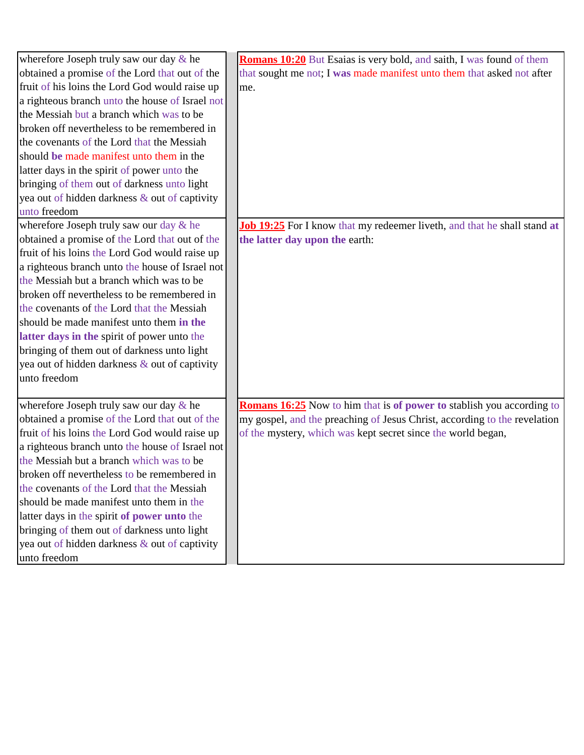| wherefore Joseph truly saw our day $\&$ he      | Romans 10:20 But Esaias is very bold, and saith, I was found of them            |
|-------------------------------------------------|---------------------------------------------------------------------------------|
| obtained a promise of the Lord that out of the  | that sought me not; I was made manifest unto them that asked not after          |
| fruit of his loins the Lord God would raise up  | me.                                                                             |
| a righteous branch unto the house of Israel not |                                                                                 |
| the Messiah but a branch which was to be        |                                                                                 |
| broken off nevertheless to be remembered in     |                                                                                 |
| the covenants of the Lord that the Messiah      |                                                                                 |
| should be made manifest unto them in the        |                                                                                 |
| latter days in the spirit of power unto the     |                                                                                 |
| bringing of them out of darkness unto light     |                                                                                 |
| yea out of hidden darkness & out of captivity   |                                                                                 |
| unto freedom                                    |                                                                                 |
| wherefore Joseph truly saw our day & he         | <b>Job 19:25</b> For I know that my redeemer liveth, and that he shall stand at |
| obtained a promise of the Lord that out of the  | the latter day upon the earth:                                                  |
| fruit of his loins the Lord God would raise up  |                                                                                 |
| a righteous branch unto the house of Israel not |                                                                                 |
| the Messiah but a branch which was to be        |                                                                                 |
| broken off nevertheless to be remembered in     |                                                                                 |
| the covenants of the Lord that the Messiah      |                                                                                 |
| should be made manifest unto them in the        |                                                                                 |
| latter days in the spirit of power unto the     |                                                                                 |
| bringing of them out of darkness unto light     |                                                                                 |
| yea out of hidden darkness & out of captivity   |                                                                                 |
| unto freedom                                    |                                                                                 |
|                                                 |                                                                                 |
| wherefore Joseph truly saw our day & he         | <b>Romans 16:25</b> Now to him that is of power to stablish you according to    |
| obtained a promise of the Lord that out of the  | my gospel, and the preaching of Jesus Christ, according to the revelation       |
| fruit of his loins the Lord God would raise up  | of the mystery, which was kept secret since the world began,                    |
| a righteous branch unto the house of Israel not |                                                                                 |
| the Messiah but a branch which was to be        |                                                                                 |
| broken off nevertheless to be remembered in     |                                                                                 |
| the covenants of the Lord that the Messiah      |                                                                                 |
| should be made manifest unto them in the        |                                                                                 |
| latter days in the spirit of power unto the     |                                                                                 |
| bringing of them out of darkness unto light     |                                                                                 |
| yea out of hidden darkness & out of captivity   |                                                                                 |
| unto freedom                                    |                                                                                 |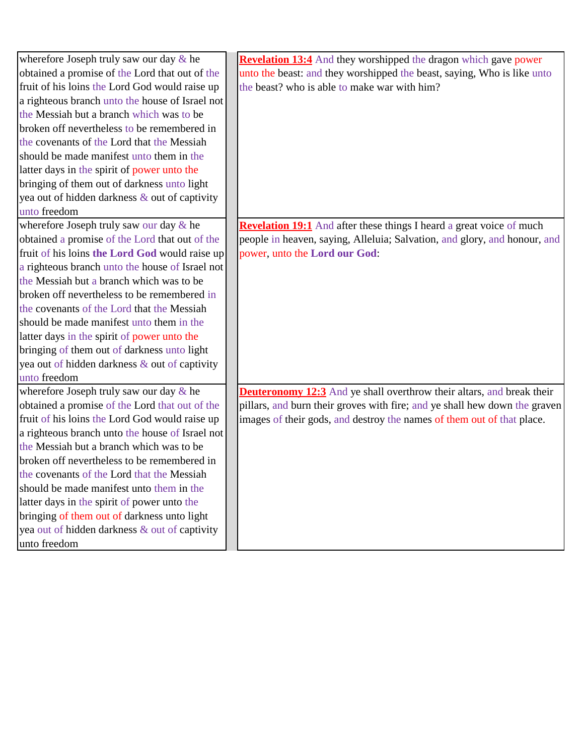| wherefore Joseph truly saw our day & he         | <b>Revelation 13:4</b> And they worshipped the dragon which gave power       |
|-------------------------------------------------|------------------------------------------------------------------------------|
| obtained a promise of the Lord that out of the  | unto the beast: and they worshipped the beast, saying, Who is like unto      |
| fruit of his loins the Lord God would raise up  | the beast? who is able to make war with him?                                 |
| a righteous branch unto the house of Israel not |                                                                              |
| the Messiah but a branch which was to be        |                                                                              |
| broken off nevertheless to be remembered in     |                                                                              |
| the covenants of the Lord that the Messiah      |                                                                              |
| should be made manifest unto them in the        |                                                                              |
| latter days in the spirit of power unto the     |                                                                              |
| bringing of them out of darkness unto light     |                                                                              |
| yea out of hidden darkness & out of captivity   |                                                                              |
| unto freedom                                    |                                                                              |
| wherefore Joseph truly saw our day & he         | <b>Revelation 19:1</b> And after these things I heard a great voice of much  |
| obtained a promise of the Lord that out of the  | people in heaven, saying, Alleluia; Salvation, and glory, and honour, and    |
| fruit of his loins the Lord God would raise up  | power, unto the Lord our God:                                                |
| a righteous branch unto the house of Israel not |                                                                              |
| the Messiah but a branch which was to be        |                                                                              |
| broken off nevertheless to be remembered in     |                                                                              |
| the covenants of the Lord that the Messiah      |                                                                              |
| should be made manifest unto them in the        |                                                                              |
| latter days in the spirit of power unto the     |                                                                              |
| bringing of them out of darkness unto light     |                                                                              |
| yea out of hidden darkness & out of captivity   |                                                                              |
| unto freedom                                    |                                                                              |
| wherefore Joseph truly saw our day & he         | <b>Deuteronomy 12:3</b> And ye shall overthrow their altars, and break their |
| obtained a promise of the Lord that out of the  | pillars, and burn their groves with fire; and ye shall hew down the graven   |
| fruit of his loins the Lord God would raise up  | images of their gods, and destroy the names of them out of that place.       |
| a righteous branch unto the house of Israel not |                                                                              |
| the Messiah but a branch which was to be        |                                                                              |
| broken off nevertheless to be remembered in     |                                                                              |
| the covenants of the Lord that the Messiah      |                                                                              |
| should be made manifest unto them in the        |                                                                              |
| latter days in the spirit of power unto the     |                                                                              |
| bringing of them out of darkness unto light     |                                                                              |
| yea out of hidden darkness & out of captivity   |                                                                              |
| unto freedom                                    |                                                                              |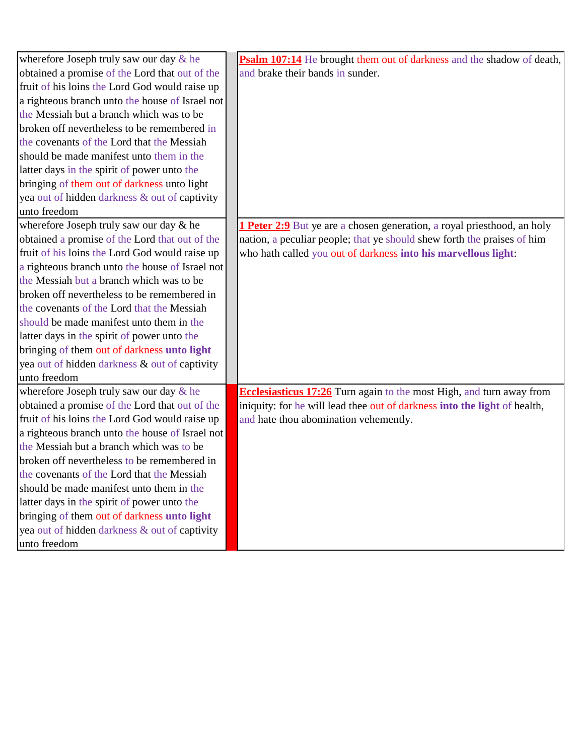| wherefore Joseph truly saw our day $\&$ he      | Psalm 107:14 He brought them out of darkness and the shadow of death,          |
|-------------------------------------------------|--------------------------------------------------------------------------------|
| obtained a promise of the Lord that out of the  | and brake their bands in sunder.                                               |
| fruit of his loins the Lord God would raise up  |                                                                                |
| a righteous branch unto the house of Israel not |                                                                                |
| the Messiah but a branch which was to be        |                                                                                |
| broken off nevertheless to be remembered in     |                                                                                |
| the covenants of the Lord that the Messiah      |                                                                                |
| should be made manifest unto them in the        |                                                                                |
| latter days in the spirit of power unto the     |                                                                                |
| bringing of them out of darkness unto light     |                                                                                |
| yea out of hidden darkness & out of captivity   |                                                                                |
| unto freedom                                    |                                                                                |
| wherefore Joseph truly saw our day & he         | <b>1 Peter 2:9</b> But ye are a chosen generation, a royal priesthood, an holy |
| obtained a promise of the Lord that out of the  | nation, a peculiar people; that ye should shew forth the praises of him        |
| fruit of his loins the Lord God would raise up  | who hath called you out of darkness into his marvellous light:                 |
| a righteous branch unto the house of Israel not |                                                                                |
| the Messiah but a branch which was to be        |                                                                                |
| broken off nevertheless to be remembered in     |                                                                                |
| the covenants of the Lord that the Messiah      |                                                                                |
| should be made manifest unto them in the        |                                                                                |
| latter days in the spirit of power unto the     |                                                                                |
| bringing of them out of darkness unto light     |                                                                                |
| yea out of hidden darkness & out of captivity   |                                                                                |
| unto freedom                                    |                                                                                |
| wherefore Joseph truly saw our day & he         | Ecclesiasticus 17:26 Turn again to the most High, and turn away from           |
| obtained a promise of the Lord that out of the  | iniquity: for he will lead thee out of darkness into the light of health,      |
| fruit of his loins the Lord God would raise up  | and hate thou abomination vehemently.                                          |
| a righteous branch unto the house of Israel not |                                                                                |
| the Messiah but a branch which was to be        |                                                                                |
| broken off nevertheless to be remembered in     |                                                                                |
| the covenants of the Lord that the Messiah      |                                                                                |
| should be made manifest unto them in the        |                                                                                |
| latter days in the spirit of power unto the     |                                                                                |
| bringing of them out of darkness unto light     |                                                                                |
| yea out of hidden darkness & out of captivity   |                                                                                |
| unto freedom                                    |                                                                                |